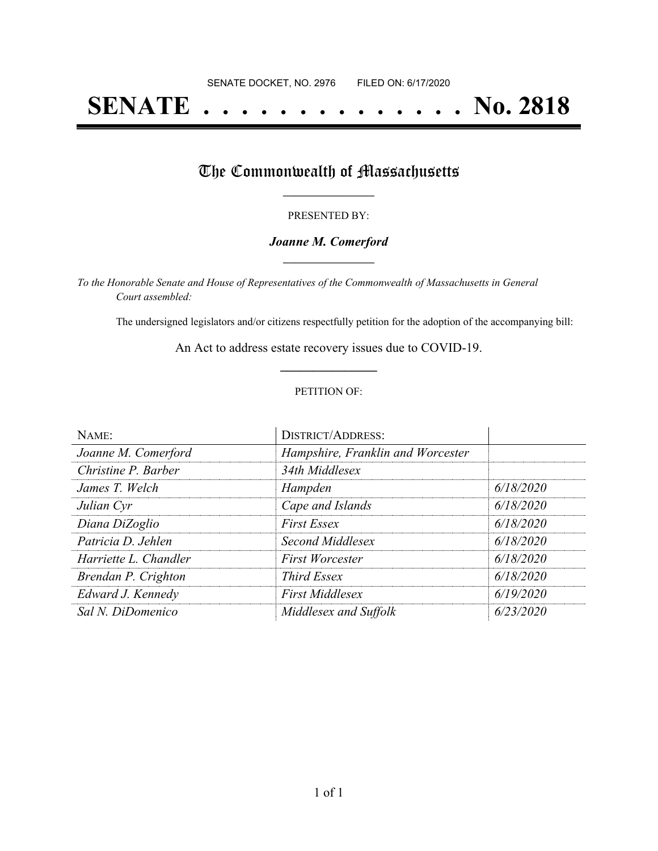# **SENATE . . . . . . . . . . . . . . No. 2818**

### The Commonwealth of Massachusetts

#### PRESENTED BY:

#### *Joanne M. Comerford* **\_\_\_\_\_\_\_\_\_\_\_\_\_\_\_\_\_**

*To the Honorable Senate and House of Representatives of the Commonwealth of Massachusetts in General Court assembled:*

The undersigned legislators and/or citizens respectfully petition for the adoption of the accompanying bill:

An Act to address estate recovery issues due to COVID-19. **\_\_\_\_\_\_\_\_\_\_\_\_\_\_\_**

#### PETITION OF:

| NAME:                 | <b>DISTRICT/ADDRESS:</b>          |           |
|-----------------------|-----------------------------------|-----------|
| Joanne M. Comerford   | Hampshire, Franklin and Worcester |           |
| Christine P. Barber   | 34th Middlesex                    |           |
| James T. Welch        | Hampden                           | 6/18/2020 |
| Julian Cyr            | Cape and Islands                  | 6/18/2020 |
| Diana DiZoglio        | <b>First Essex</b>                | 6/18/2020 |
| Patricia D. Jehlen    | Second Middlesex                  | 6/18/2020 |
| Harriette L. Chandler | <b>First Worcester</b>            | 6/18/2020 |
| Brendan P. Crighton   | <i>Third Essex</i>                | 6/18/2020 |
| Edward J. Kennedy     | <b>First Middlesex</b>            | 6/19/2020 |
| Sal N. DiDomenico     | Middlesex and Suffolk             | 6/23/2020 |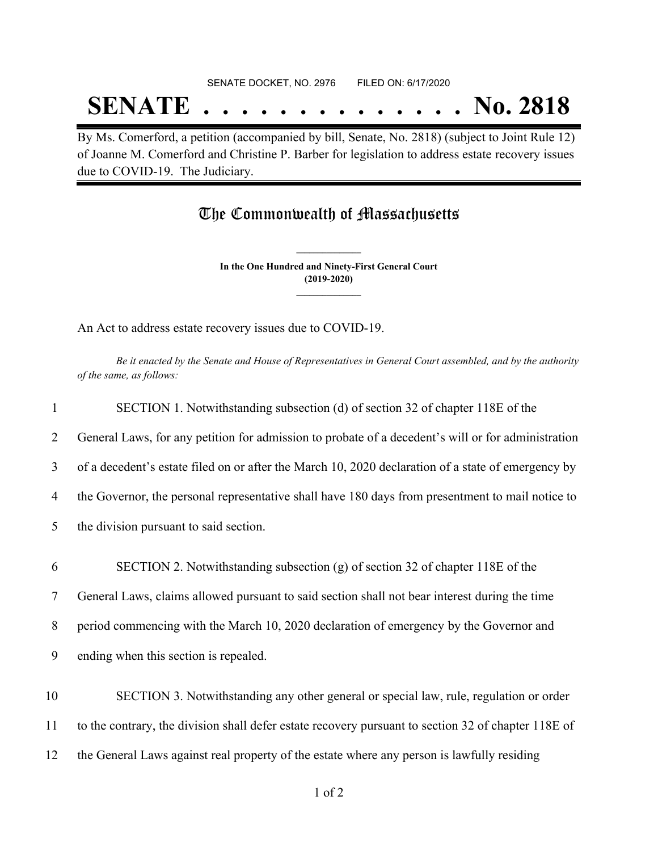#### SENATE DOCKET, NO. 2976 FILED ON: 6/17/2020

## **SENATE . . . . . . . . . . . . . . No. 2818**

By Ms. Comerford, a petition (accompanied by bill, Senate, No. 2818) (subject to Joint Rule 12) of Joanne M. Comerford and Christine P. Barber for legislation to address estate recovery issues due to COVID-19. The Judiciary.

### The Commonwealth of Massachusetts

**In the One Hundred and Ninety-First General Court (2019-2020) \_\_\_\_\_\_\_\_\_\_\_\_\_\_\_**

**\_\_\_\_\_\_\_\_\_\_\_\_\_\_\_**

An Act to address estate recovery issues due to COVID-19.

Be it enacted by the Senate and House of Representatives in General Court assembled, and by the authority *of the same, as follows:*

| $\mathbf{1}$ | SECTION 1. Notwithstanding subsection (d) of section 32 of chapter 118E of the                      |
|--------------|-----------------------------------------------------------------------------------------------------|
| 2            | General Laws, for any petition for admission to probate of a decedent's will or for administration  |
| 3            | of a decedent's estate filed on or after the March 10, 2020 declaration of a state of emergency by  |
| 4            | the Governor, the personal representative shall have 180 days from presentment to mail notice to    |
| 5            | the division pursuant to said section.                                                              |
| 6            | SECTION 2. Notwithstanding subsection (g) of section 32 of chapter 118E of the                      |
| $\tau$       | General Laws, claims allowed pursuant to said section shall not bear interest during the time       |
| 8            | period commencing with the March 10, 2020 declaration of emergency by the Governor and              |
| 9            | ending when this section is repealed.                                                               |
| 10           | SECTION 3. Notwithstanding any other general or special law, rule, regulation or order              |
| 11           | to the contrary, the division shall defer estate recovery pursuant to section 32 of chapter 118E of |
| 12           | the General Laws against real property of the estate where any person is lawfully residing          |